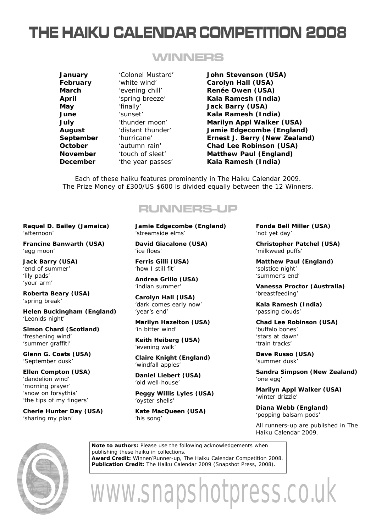# **THE HAIKU CALENDAR COMPETITION 2008**

### **WINNERS**

**January** 'Colonel Mustard' **John Stevenson (USA) February** 'white wind' **Carolyn Hall (USA) March** 'evening chill' **Renée Owen (USA) April** 'spring breeze' **Kala Ramesh (India) May** 'finally' **Jack Barry (USA) June** 'sunset' **Kala Ramesh (India) July** 'thunder moon' **Marilyn Appl Walker (USA) August** 'distant thunder' **Jamie Edgecombe (England) September** 'hurricane' **Ernest J. Berry (New Zealand) October** 'autumn rain' **Chad Lee Robinson (USA) November** 'touch of sleet' **Matthew Paul (England) December** 'the year passes' **Kala Ramesh (India)**

Each of these haiku features prominently in *The Haiku Calendar 2009*. The Prize Money of £300/US \$600 is divided equally between the 12 Winners.

### **RUNNERS-UP**

**Raquel D. Bailey (Jamaica)** 'afternoon'

**Francine Banwarth (USA)** 'egg moon'

**Jack Barry (USA)** 'end of summer' 'lily pads' 'your arm'

**Roberta Beary (USA)** 'spring break'

**Helen Buckingham (England)** 'Leonids night'

**Simon Chard (Scotland)** 'freshening wind' 'summer graffiti'

**Glenn G. Coats (USA)** 'September dusk'

**Ellen Compton (USA)** 'dandelion wind' 'morning prayer' 'snow on forsythia' 'the tips of my fingers'

**Cherie Hunter Day (USA)** 'sharing my plan'

**Jamie Edgecombe (England)** 'streamside elms'

**David Giacalone (USA)** 'ice floes'

**Ferris Gilli (USA)** 'how I still fit'

**Andrea Grillo (USA)** 'indian summer'

**Carolyn Hall (USA)** 'dark comes early now' 'year's end'

**Marilyn Hazelton (USA)** 'in bitter wind'

**Keith Heiberg (USA)** 'evening walk'

**Claire Knight (England)** 'windfall apples'

**Daniel Liebert (USA)** 'old well-house'

**Peggy Willis Lyles (USA)** 'oyster shells'

**Kate MacQueen (USA)** 'his song'

**Fonda Bell Miller (USA)** 'not yet day'

**Christopher Patchel (USA)** 'milkweed puffs'

**Matthew Paul (England)** 'solstice night' 'summer's end'

**Vanessa Proctor (Australia)** 'breastfeeding'

**Kala Ramesh (India)** 'passing clouds'

**Chad Lee Robinson (USA)** 'buffalo bones' 'stars at dawn' 'train tracks'

**Dave Russo (USA)** 'summer dusk'

**Sandra Simpson (New Zealand)** 'one egg'

**Marilyn Appl Walker (USA)** 'winter drizzle'

**Diana Webb (England)** 'popping balsam pods'

All runners-up are published in *The Haiku Calendar 2009*.



**Note to authors:** Please use the following acknowledgements when publishing these haiku in collections. **Award Credit:** Winner/Runner-up, The Haiku Calendar Competition 2008. **Publication Credit:** *The Haiku Calendar 2009* (Snapshot Press, 2008).

www.snapshotpress.co.uk